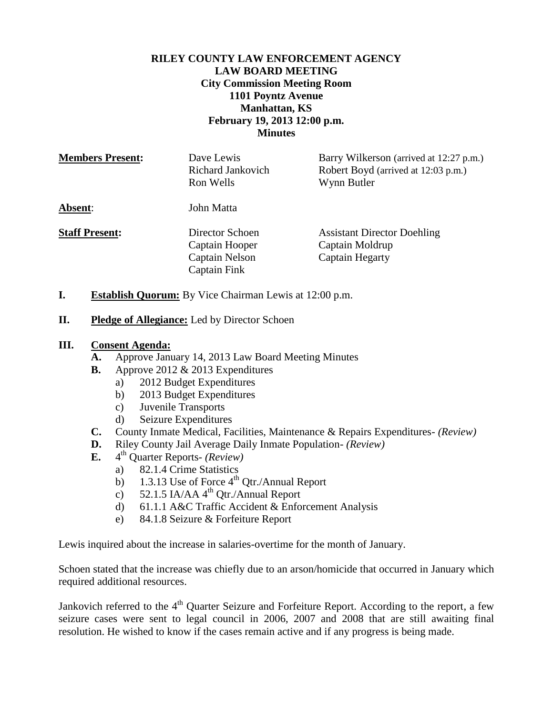# **RILEY COUNTY LAW ENFORCEMENT AGENCY LAW BOARD MEETING City Commission Meeting Room 1101 Poyntz Avenue Manhattan, KS February 19, 2013 12:00 p.m. Minutes**

| <b>Members Present:</b> | Dave Lewis<br>Richard Jankovich<br>Ron Wells               | Barry Wilkerson (arrived at 12:27 p.m.)<br>Robert Boyd (arrived at 12:03 p.m.)<br>Wynn Butler |
|-------------------------|------------------------------------------------------------|-----------------------------------------------------------------------------------------------|
| Absent:                 | John Matta                                                 |                                                                                               |
| <b>Staff Present:</b>   | Director Schoen<br>Captain Hooper<br><b>Captain Nelson</b> | <b>Assistant Director Doehling</b><br>Captain Moldrup<br>Captain Hegarty                      |

**I. Establish Quorum:** By Vice Chairman Lewis at 12:00 p.m.

Captain Fink

**II. Pledge of Allegiance:** Led by Director Schoen

#### **III. Consent Agenda:**

- **A.** Approve January 14, 2013 Law Board Meeting Minutes
- **B.** Approve 2012 & 2013 Expenditures
	- a) 2012 Budget Expenditures
	- b) 2013 Budget Expenditures
	- c) Juvenile Transports
	- d) Seizure Expenditures
- **C.** County Inmate Medical, Facilities, Maintenance & Repairs Expenditures- *(Review)*
- **D.** Riley County Jail Average Daily Inmate Population- *(Review)*
- **E.** 4 th Quarter Reports- *(Review)*
	- a) 82.1.4 Crime Statistics
		- b) 1.3.13 Use of Force  $4^{th}$  Qtr./Annual Report
		- c) 52.1.5 IA/AA  $4^{\text{th}}$  Otr./Annual Report
		- d) 61.1.1 A&C Traffic Accident & Enforcement Analysis
		- e) 84.1.8 Seizure & Forfeiture Report

Lewis inquired about the increase in salaries-overtime for the month of January.

Schoen stated that the increase was chiefly due to an arson/homicide that occurred in January which required additional resources.

Jankovich referred to the  $4<sup>th</sup>$  Quarter Seizure and Forfeiture Report. According to the report, a few seizure cases were sent to legal council in 2006, 2007 and 2008 that are still awaiting final resolution. He wished to know if the cases remain active and if any progress is being made.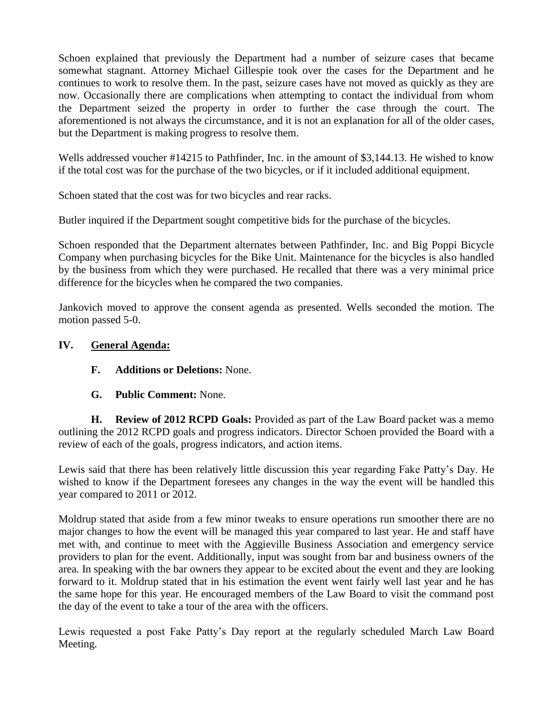Schoen explained that previously the Department had a number of seizure cases that became somewhat stagnant. Attorney Michael Gillespie took over the cases for the Department and he continues to work to resolve them. In the past, seizure cases have not moved as quickly as they are now. Occasionally there are complications when attempting to contact the individual from whom the Department seized the property in order to further the case through the court. The aforementioned is not always the circumstance, and it is not an explanation for all of the older cases, but the Department is making progress to resolve them.

Wells addressed voucher #14215 to Pathfinder, Inc. in the amount of \$3,144.13. He wished to know if the total cost was for the purchase of the two bicycles, or if it included additional equipment.

Schoen stated that the cost was for two bicycles and rear racks.

Butler inquired if the Department sought competitive bids for the purchase of the bicycles.

Schoen responded that the Department alternates between Pathfinder, Inc. and Big Poppi Bicycle Company when purchasing bicycles for the Bike Unit. Maintenance for the bicycles is also handled by the business from which they were purchased. He recalled that there was a very minimal price difference for the bicycles when he compared the two companies.

Jankovich moved to approve the consent agenda as presented. Wells seconded the motion. The motion passed 5-0.

# **IV. General Agenda:**

# **F. Additions or Deletions:** None.

**G. Public Comment:** None.

**H. Review of 2012 RCPD Goals:** Provided as part of the Law Board packet was a memo outlining the 2012 RCPD goals and progress indicators. Director Schoen provided the Board with a review of each of the goals, progress indicators, and action items.

Lewis said that there has been relatively little discussion this year regarding Fake Patty's Day. He wished to know if the Department foresees any changes in the way the event will be handled this year compared to 2011 or 2012.

Moldrup stated that aside from a few minor tweaks to ensure operations run smoother there are no major changes to how the event will be managed this year compared to last year. He and staff have met with, and continue to meet with the Aggieville Business Association and emergency service providers to plan for the event. Additionally, input was sought from bar and business owners of the area. In speaking with the bar owners they appear to be excited about the event and they are looking forward to it. Moldrup stated that in his estimation the event went fairly well last year and he has the same hope for this year. He encouraged members of the Law Board to visit the command post the day of the event to take a tour of the area with the officers.

Lewis requested a post Fake Patty's Day report at the regularly scheduled March Law Board Meeting.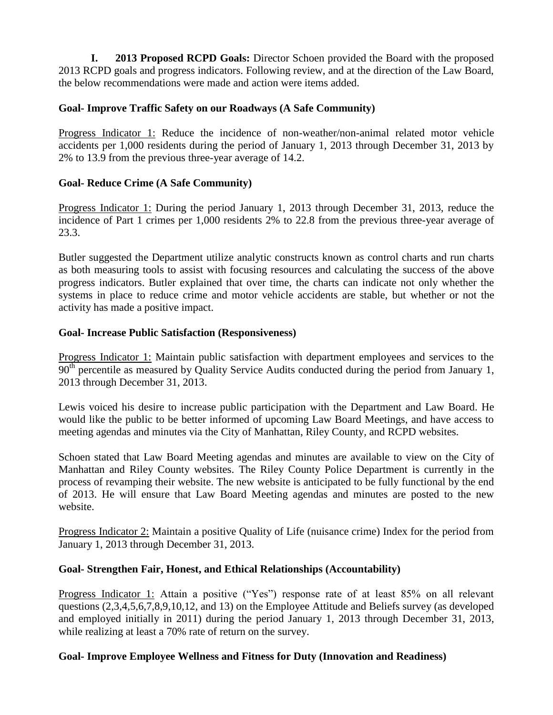**I. 2013 Proposed RCPD Goals:** Director Schoen provided the Board with the proposed 2013 RCPD goals and progress indicators. Following review, and at the direction of the Law Board, the below recommendations were made and action were items added.

## **Goal- Improve Traffic Safety on our Roadways (A Safe Community)**

Progress Indicator 1: Reduce the incidence of non-weather/non-animal related motor vehicle accidents per 1,000 residents during the period of January 1, 2013 through December 31, 2013 by 2% to 13.9 from the previous three-year average of 14.2.

# **Goal- Reduce Crime (A Safe Community)**

Progress Indicator 1: During the period January 1, 2013 through December 31, 2013, reduce the incidence of Part 1 crimes per 1,000 residents 2% to 22.8 from the previous three-year average of 23.3.

Butler suggested the Department utilize analytic constructs known as control charts and run charts as both measuring tools to assist with focusing resources and calculating the success of the above progress indicators. Butler explained that over time, the charts can indicate not only whether the systems in place to reduce crime and motor vehicle accidents are stable, but whether or not the activity has made a positive impact.

#### **Goal- Increase Public Satisfaction (Responsiveness)**

Progress Indicator 1: Maintain public satisfaction with department employees and services to the  $90<sup>th</sup>$  percentile as measured by Quality Service Audits conducted during the period from January 1, 2013 through December 31, 2013.

Lewis voiced his desire to increase public participation with the Department and Law Board. He would like the public to be better informed of upcoming Law Board Meetings, and have access to meeting agendas and minutes via the City of Manhattan, Riley County, and RCPD websites.

Schoen stated that Law Board Meeting agendas and minutes are available to view on the City of Manhattan and Riley County websites. The Riley County Police Department is currently in the process of revamping their website. The new website is anticipated to be fully functional by the end of 2013. He will ensure that Law Board Meeting agendas and minutes are posted to the new website.

Progress Indicator 2: Maintain a positive Quality of Life (nuisance crime) Index for the period from January 1, 2013 through December 31, 2013.

#### **Goal- Strengthen Fair, Honest, and Ethical Relationships (Accountability)**

Progress Indicator 1: Attain a positive ("Yes") response rate of at least 85% on all relevant questions (2,3,4,5,6,7,8,9,10,12, and 13) on the Employee Attitude and Beliefs survey (as developed and employed initially in 2011) during the period January 1, 2013 through December 31, 2013, while realizing at least a 70% rate of return on the survey.

#### **Goal- Improve Employee Wellness and Fitness for Duty (Innovation and Readiness)**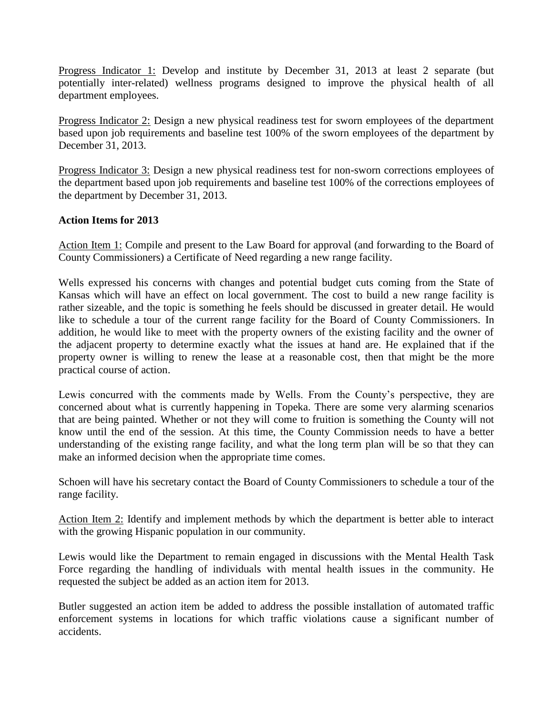Progress Indicator 1: Develop and institute by December 31, 2013 at least 2 separate (but potentially inter-related) wellness programs designed to improve the physical health of all department employees.

Progress Indicator 2: Design a new physical readiness test for sworn employees of the department based upon job requirements and baseline test 100% of the sworn employees of the department by December 31, 2013.

Progress Indicator 3: Design a new physical readiness test for non-sworn corrections employees of the department based upon job requirements and baseline test 100% of the corrections employees of the department by December 31, 2013.

#### **Action Items for 2013**

Action Item 1: Compile and present to the Law Board for approval (and forwarding to the Board of County Commissioners) a Certificate of Need regarding a new range facility.

Wells expressed his concerns with changes and potential budget cuts coming from the State of Kansas which will have an effect on local government. The cost to build a new range facility is rather sizeable, and the topic is something he feels should be discussed in greater detail. He would like to schedule a tour of the current range facility for the Board of County Commissioners. In addition, he would like to meet with the property owners of the existing facility and the owner of the adjacent property to determine exactly what the issues at hand are. He explained that if the property owner is willing to renew the lease at a reasonable cost, then that might be the more practical course of action.

Lewis concurred with the comments made by Wells. From the County's perspective, they are concerned about what is currently happening in Topeka. There are some very alarming scenarios that are being painted. Whether or not they will come to fruition is something the County will not know until the end of the session. At this time, the County Commission needs to have a better understanding of the existing range facility, and what the long term plan will be so that they can make an informed decision when the appropriate time comes.

Schoen will have his secretary contact the Board of County Commissioners to schedule a tour of the range facility.

Action Item 2: Identify and implement methods by which the department is better able to interact with the growing Hispanic population in our community.

Lewis would like the Department to remain engaged in discussions with the Mental Health Task Force regarding the handling of individuals with mental health issues in the community. He requested the subject be added as an action item for 2013.

Butler suggested an action item be added to address the possible installation of automated traffic enforcement systems in locations for which traffic violations cause a significant number of accidents.